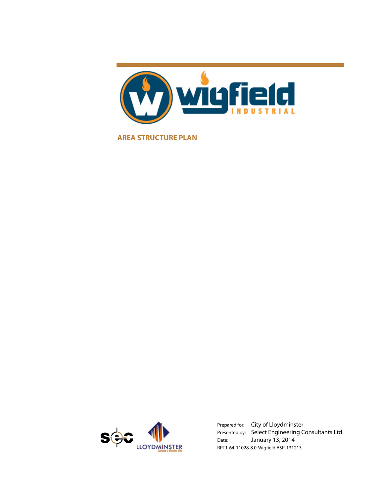

**AREA STRUCTURE PLAN** 



Prepared for: City of Lloydminster Presented by: Select Engineering Consultants Ltd. Date: January 13, 2014 RPT1-64-11028-8.0-Wigfield ASP-131213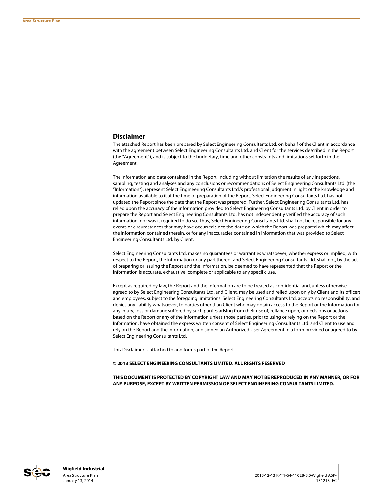#### **Disclaimer**

The attached Report has been prepared by Select Engineering Consultants Ltd. on behalf of the Client in accordance with the agreement between Select Engineering Consultants Ltd. and Client for the services described in the Report (the "Agreement"), and is subject to the budgetary, time and other constraints and limitations set forth in the Agreement.

The information and data contained in the Report, including without limitation the results of any inspections, sampling, testing and analyses and any conclusions or recommendations of Select Engineering Consultants Ltd. (the "Information"), represent Select Engineering Consultants Ltd.'s professional judgment in light of the knowledge and information available to it at the time of preparation of the Report. Select Engineering Consultants Ltd. has not updated the Report since the date that the Report was prepared. Further, Select Engineering Consultants Ltd. has relied upon the accuracy of the information provided to Select Engineering Consultants Ltd. by Client in order to prepare the Report and Select Engineering Consultants Ltd. has not independently verified the accuracy of such information, nor was it required to do so. Thus, Select Engineering Consultants Ltd. shall not be responsible for any events or circumstances that may have occurred since the date on which the Report was prepared which may affect the information contained therein, or for any inaccuracies contained in information that was provided to Select Engineering Consultants Ltd. by Client.

Select Engineering Consultants Ltd. makes no guarantees or warranties whatsoever, whether express or implied, with respect to the Report, the Information or any part thereof and Select Engineering Consultants Ltd. shall not, by the act of preparing or issuing the Report and the Information, be deemed to have represented that the Report or the Information is accurate, exhaustive, complete or applicable to any specific use.

Except as required by law, the Report and the Information are to be treated as confidential and, unless otherwise agreed to by Select Engineering Consultants Ltd. and Client, may be used and relied upon only by Client and its officers and employees, subject to the foregoing limitations. Select Engineering Consultants Ltd. accepts no responsibility, and denies any liability whatsoever, to parties other than Client who may obtain access to the Report or the Information for any injury, loss or damage suffered by such parties arising from their use of, reliance upon, or decisions or actions based on the Report or any of the Information unless those parties, prior to using or relying on the Report or the Information, have obtained the express written consent of Select Engineering Consultants Ltd. and Client to use and rely on the Report and the Information, and signed an Authorized User Agreement in a form provided or agreed to by Select Engineering Consultants Ltd.

This Disclaimer is attached to and forms part of the Report.

#### **© 2013 SELECT ENGINEERING CONSULTANTS LIMITED. ALL RIGHTS RESERVED**

**THIS DOCUMENT IS PROTECTED BY COPYRIGHT LAW AND MAY NOT BE REPRODUCED IN ANY MANNER, OR FOR ANY PURPOSE, EXCEPT BY WRITTEN PERMISSION OF SELECT ENGINEERING CONSULTANTS LIMITED.** 

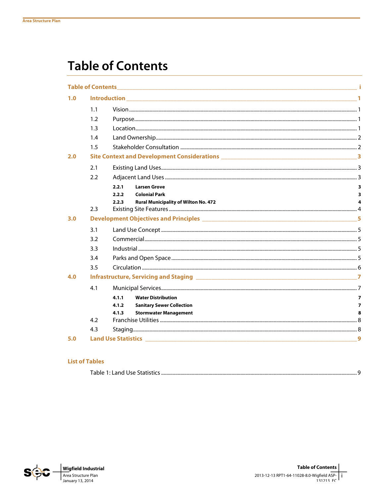# **Table of Contents**

|     | <b>Table of Contents</b> |       | <u> 1980 - Jan Barnett, fransk politiker (d. 1980)</u> |                         |  |  |
|-----|--------------------------|-------|--------------------------------------------------------|-------------------------|--|--|
| 1.0 |                          |       |                                                        |                         |  |  |
|     | 1.1                      |       |                                                        |                         |  |  |
|     | 1.2                      |       |                                                        |                         |  |  |
|     | 1.3                      |       |                                                        |                         |  |  |
|     | 1.4                      |       |                                                        |                         |  |  |
|     | 1.5                      |       |                                                        |                         |  |  |
| 2.0 |                          |       |                                                        |                         |  |  |
|     | 2.1                      |       |                                                        |                         |  |  |
|     | 2.2                      |       |                                                        |                         |  |  |
|     |                          | 2.2.1 | <b>Larsen Grove</b>                                    | 3                       |  |  |
|     |                          | 2.2.2 | <b>Colonial Park</b>                                   | 3                       |  |  |
|     | 2.3                      | 2.2.3 | <b>Rural Municipality of Wilton No. 472</b>            | 4                       |  |  |
| 3.0 |                          |       |                                                        |                         |  |  |
|     | 3.1                      |       |                                                        |                         |  |  |
|     | 3.2                      |       |                                                        |                         |  |  |
|     | 3.3                      |       |                                                        |                         |  |  |
|     | 3.4                      |       |                                                        |                         |  |  |
|     | 3.5                      |       |                                                        |                         |  |  |
| 4.0 |                          |       |                                                        |                         |  |  |
|     | 4.1                      |       |                                                        |                         |  |  |
|     |                          | 4.1.1 | <b>Water Distribution</b>                              | $\overline{\mathbf{z}}$ |  |  |
|     |                          | 4.1.2 | <b>Sanitary Sewer Collection</b>                       | 7                       |  |  |
|     |                          | 4.1.3 | <b>Stormwater Management</b>                           | 8                       |  |  |
|     | 4.2                      |       |                                                        |                         |  |  |
|     | 4.3                      |       |                                                        |                         |  |  |
| 5.0 |                          |       |                                                        | 9                       |  |  |

#### **List of Tables**

|--|

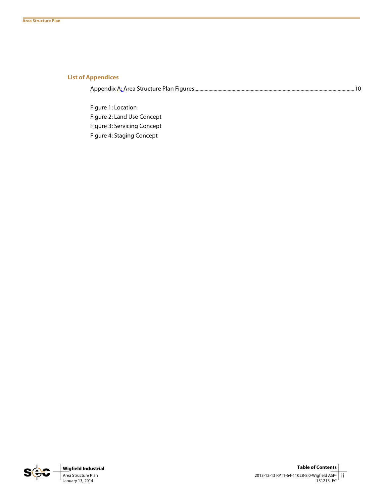#### **List of Appendices**

Appendix A: Area Structure Plan Figures ............................................................................................................................. 10

Figure 1: Location Figure 2: Land Use Concept Figure 3: Servicing Concept Figure 4: Staging Concept

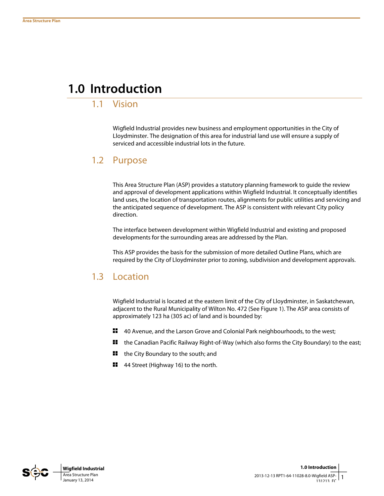## **1.0 Introduction**

### 1.1 Vision

Wigfield Industrial provides new business and employment opportunities in the City of Lloydminster. The designation of this area for industrial land use will ensure a supply of serviced and accessible industrial lots in the future.

### 1.2 Purpose

This Area Structure Plan (ASP) provides a statutory planning framework to guide the review and approval of development applications within Wigfield Industrial. It conceptually identifies land uses, the location of transportation routes, alignments for public utilities and servicing and the anticipated sequence of development. The ASP is consistent with relevant City policy direction.

The interface between development within Wigfield Industrial and existing and proposed developments for the surrounding areas are addressed by the Plan.

This ASP provides the basis for the submission of more detailed Outline Plans, which are required by the City of Lloydminster prior to zoning, subdivision and development approvals.

## 1.3 Location

Wigfield Industrial is located at the eastern limit of the City of Lloydminster, in Saskatchewan, adjacent to the Rural Municipality of Wilton No. 472 (See Figure 1). The ASP area consists of approximately 123 ha (305 ac) of land and is bounded by:

- ₩. 40 Avenue, and the Larson Grove and Colonial Park neighbourhoods, to the west;
- ₩. the Canadian Pacific Railway Right-of-Way (which also forms the City Boundary) to the east;
- 89 the City Boundary to the south; and
- **11** 44 Street (Highway 16) to the north.

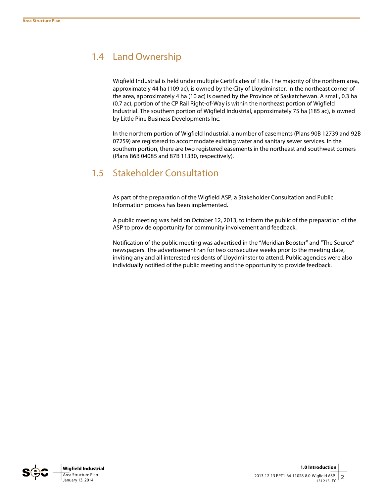## 1.4 Land Ownership

Wigfield Industrial is held under multiple Certificates of Title. The majority of the northern area, approximately 44 ha (109 ac), is owned by the City of Lloydminster. In the northeast corner of the area, approximately 4 ha (10 ac) is owned by the Province of Saskatchewan. A small, 0.3 ha (0.7 ac), portion of the CP Rail Right-of-Way is within the northeast portion of Wigfield Industrial. The southern portion of Wigfield Industrial, approximately 75 ha (185 ac), is owned by Little Pine Business Developments Inc.

In the northern portion of Wigfield Industrial, a number of easements (Plans 90B 12739 and 92B 07259) are registered to accommodate existing water and sanitary sewer services. In the southern portion, there are two registered easements in the northeast and southwest corners (Plans 86B 04085 and 87B 11330, respectively).

## 1.5 Stakeholder Consultation

As part of the preparation of the Wigfield ASP, a Stakeholder Consultation and Public Information process has been implemented.

A public meeting was held on October 12, 2013, to inform the public of the preparation of the ASP to provide opportunity for community involvement and feedback.

Notification of the public meeting was advertised in the "Meridian Booster" and "The Source" newspapers. The advertisement ran for two consecutive weeks prior to the meeting date, inviting any and all interested residents of Lloydminster to attend. Public agencies were also individually notified of the public meeting and the opportunity to provide feedback.

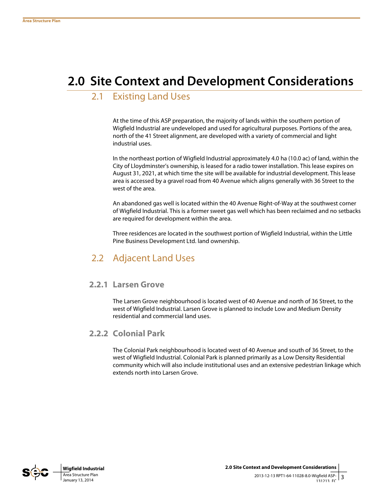# **2.0 Site Context and Development Considerations**

## 2.1 Existing Land Uses

At the time of this ASP preparation, the majority of lands within the southern portion of Wigfield Industrial are undeveloped and used for agricultural purposes. Portions of the area, north of the 41 Street alignment, are developed with a variety of commercial and light industrial uses.

In the northeast portion of Wigfield Industrial approximately 4.0 ha (10.0 ac) of land, within the City of Lloydminster's ownership, is leased for a radio tower installation. This lease expires on August 31, 2021, at which time the site will be available for industrial development. This lease area is accessed by a gravel road from 40 Avenue which aligns generally with 36 Street to the west of the area.

An abandoned gas well is located within the 40 Avenue Right-of-Way at the southwest corner of Wigfield Industrial. This is a former sweet gas well which has been reclaimed and no setbacks are required for development within the area.

Three residences are located in the southwest portion of Wigfield Industrial, within the Little Pine Business Development Ltd. land ownership.

## 2.2 Adjacent Land Uses

#### **2.2.1 Larsen Grove**

The Larsen Grove neighbourhood is located west of 40 Avenue and north of 36 Street, to the west of Wigfield Industrial. Larsen Grove is planned to include Low and Medium Density residential and commercial land uses.

### **2.2.2 Colonial Park**

The Colonial Park neighbourhood is located west of 40 Avenue and south of 36 Street, to the west of Wigfield Industrial. Colonial Park is planned primarily as a Low Density Residential community which will also include institutional uses and an extensive pedestrian linkage which extends north into Larsen Grove.

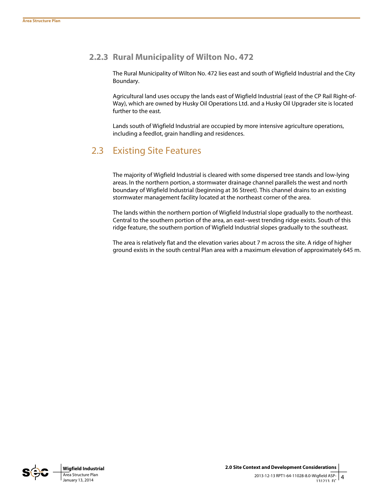### **2.2.3 Rural Municipality of Wilton No. 472**

The Rural Municipality of Wilton No. 472 lies east and south of Wigfield Industrial and the City Boundary.

Agricultural land uses occupy the lands east of Wigfield Industrial (east of the CP Rail Right-of-Way), which are owned by Husky Oil Operations Ltd. and a Husky Oil Upgrader site is located further to the east.

Lands south of Wigfield Industrial are occupied by more intensive agriculture operations, including a feedlot, grain handling and residences.

## 2.3 Existing Site Features

The majority of Wigfield Industrial is cleared with some dispersed tree stands and low-lying areas. In the northern portion, a stormwater drainage channel parallels the west and north boundary of Wigfield Industrial (beginning at 36 Street). This channel drains to an existing stormwater management facility located at the northeast corner of the area.

The lands within the northern portion of Wigfield Industrial slope gradually to the northeast. Central to the southern portion of the area, an east–west trending ridge exists. South of this ridge feature, the southern portion of Wigfield Industrial slopes gradually to the southeast.

The area is relatively flat and the elevation varies about 7 m across the site. A ridge of higher ground exists in the south central Plan area with a maximum elevation of approximately 645 m.

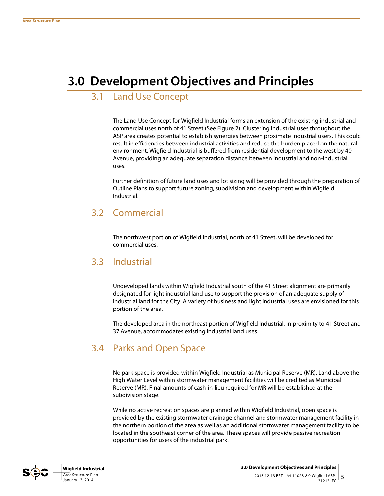# **3.0 Development Objectives and Principles**

## 3.1 Land Use Concept

The Land Use Concept for Wigfield Industrial forms an extension of the existing industrial and commercial uses north of 41 Street (See Figure 2). Clustering industrial uses throughout the ASP area creates potential to establish synergies between proximate industrial users. This could result in efficiencies between industrial activities and reduce the burden placed on the natural environment. Wigfield Industrial is buffered from residential development to the west by 40 Avenue, providing an adequate separation distance between industrial and non-industrial uses.

Further definition of future land uses and lot sizing will be provided through the preparation of Outline Plans to support future zoning, subdivision and development within Wigfield Industrial.

## 3.2 Commercial

The northwest portion of Wigfield Industrial, north of 41 Street, will be developed for commercial uses.

### 3.3 Industrial

Undeveloped lands within Wigfield Industrial south of the 41 Street alignment are primarily designated for light industrial land use to support the provision of an adequate supply of industrial land for the City. A variety of business and light industrial uses are envisioned for this portion of the area.

The developed area in the northeast portion of Wigfield Industrial, in proximity to 41 Street and 37 Avenue, accommodates existing industrial land uses.

## 3.4 Parks and Open Space

No park space is provided within Wigfield Industrial as Municipal Reserve (MR). Land above the High Water Level within stormwater management facilities will be credited as Municipal Reserve (MR). Final amounts of cash-in-lieu required for MR will be established at the subdivision stage.

While no active recreation spaces are planned within Wigfield Industrial, open space is provided by the existing stormwater drainage channel and stormwater management facility in the northern portion of the area as well as an additional stormwater management facility to be located in the southeast corner of the area. These spaces will provide passive recreation opportunities for users of the industrial park.

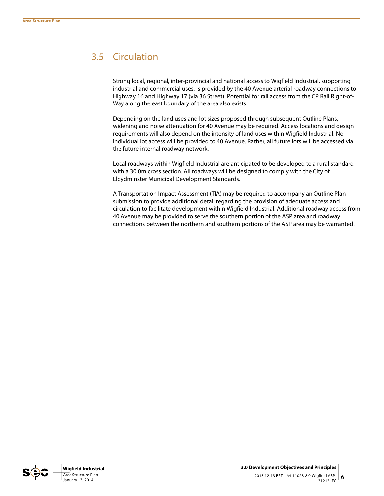## 3.5 Circulation

Strong local, regional, inter-provincial and national access to Wigfield Industrial, supporting industrial and commercial uses, is provided by the 40 Avenue arterial roadway connections to Highway 16 and Highway 17 (via 36 Street). Potential for rail access from the CP Rail Right-of-Way along the east boundary of the area also exists.

Depending on the land uses and lot sizes proposed through subsequent Outline Plans, widening and noise attenuation for 40 Avenue may be required. Access locations and design requirements will also depend on the intensity of land uses within Wigfield Industrial. No individual lot access will be provided to 40 Avenue. Rather, all future lots will be accessed via the future internal roadway network.

Local roadways within Wigfield Industrial are anticipated to be developed to a rural standard with a 30.0m cross section. All roadways will be designed to comply with the City of Lloydminster Municipal Development Standards.

A Transportation Impact Assessment (TIA) may be required to accompany an Outline Plan submission to provide additional detail regarding the provision of adequate access and circulation to facilitate development within Wigfield Industrial. Additional roadway access from 40 Avenue may be provided to serve the southern portion of the ASP area and roadway connections between the northern and southern portions of the ASP area may be warranted.

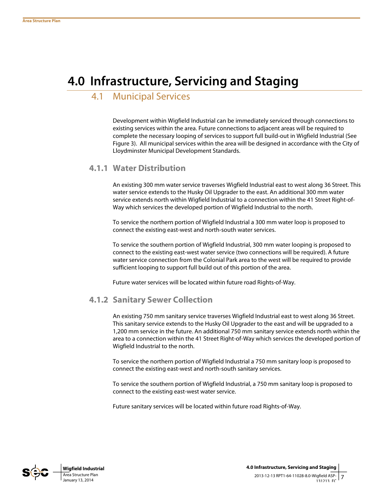# **4.0 Infrastructure, Servicing and Staging**

## 4.1 Municipal Services

Development within Wigfield Industrial can be immediately serviced through connections to existing services within the area. Future connections to adjacent areas will be required to complete the necessary looping of services to support full build-out in Wigfield Industrial (See Figure 3). All municipal services within the area will be designed in accordance with the City of Lloydminster Municipal Development Standards.

#### **4.1.1 Water Distribution**

An existing 300 mm water service traverses Wigfield Industrial east to west along 36 Street. This water service extends to the Husky Oil Upgrader to the east. An additional 300 mm water service extends north within Wigfield Industrial to a connection within the 41 Street Right-of-Way which services the developed portion of Wigfield Industrial to the north.

To service the northern portion of Wigfield Industrial a 300 mm water loop is proposed to connect the existing east-west and north-south water services.

To service the southern portion of Wigfield Industrial, 300 mm water looping is proposed to connect to the existing east-west water service (two connections will be required). A future water service connection from the Colonial Park area to the west will be required to provide sufficient looping to support full build out of this portion of the area.

Future water services will be located within future road Rights-of-Way.

### **4.1.2 Sanitary Sewer Collection**

An existing 750 mm sanitary service traverses Wigfield Industrial east to west along 36 Street. This sanitary service extends to the Husky Oil Upgrader to the east and will be upgraded to a 1,200 mm service in the future. An additional 750 mm sanitary service extends north within the area to a connection within the 41 Street Right-of-Way which services the developed portion of Wigfield Industrial to the north.

To service the northern portion of Wigfield Industrial a 750 mm sanitary loop is proposed to connect the existing east-west and north-south sanitary services.

To service the southern portion of Wigfield Industrial, a 750 mm sanitary loop is proposed to connect to the existing east-west water service.

Future sanitary services will be located within future road Rights-of-Way.

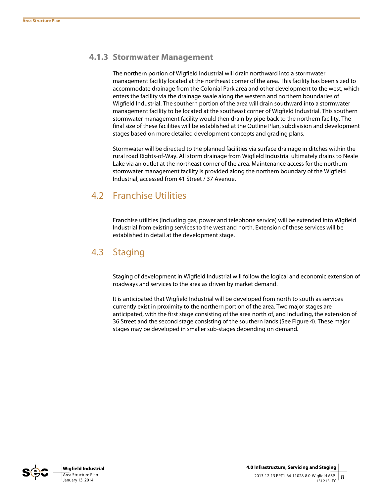### **4.1.3 Stormwater Management**

The northern portion of Wigfield Industrial will drain northward into a stormwater management facility located at the northeast corner of the area. This facility has been sized to accommodate drainage from the Colonial Park area and other development to the west, which enters the facility via the drainage swale along the western and northern boundaries of Wigfield Industrial. The southern portion of the area will drain southward into a stormwater management facility to be located at the southeast corner of Wigfield Industrial. This southern stormwater management facility would then drain by pipe back to the northern facility. The final size of these facilities will be established at the Outline Plan, subdivision and development stages based on more detailed development concepts and grading plans.

Stormwater will be directed to the planned facilities via surface drainage in ditches within the rural road Rights-of-Way. All storm drainage from Wigfield Industrial ultimately drains to Neale Lake via an outlet at the northeast corner of the area. Maintenance access for the northern stormwater management facility is provided along the northern boundary of the Wigfield Industrial, accessed from 41 Street / 37 Avenue.

## 4.2 Franchise Utilities

Franchise utilities (including gas, power and telephone service) will be extended into Wigfield Industrial from existing services to the west and north. Extension of these services will be established in detail at the development stage.

## 4.3 Staging

Staging of development in Wigfield Industrial will follow the logical and economic extension of roadways and services to the area as driven by market demand.

It is anticipated that Wigfield Industrial will be developed from north to south as services currently exist in proximity to the northern portion of the area. Two major stages are anticipated, with the first stage consisting of the area north of, and including, the extension of 36 Street and the second stage consisting of the southern lands (See Figure 4). These major stages may be developed in smaller sub-stages depending on demand.

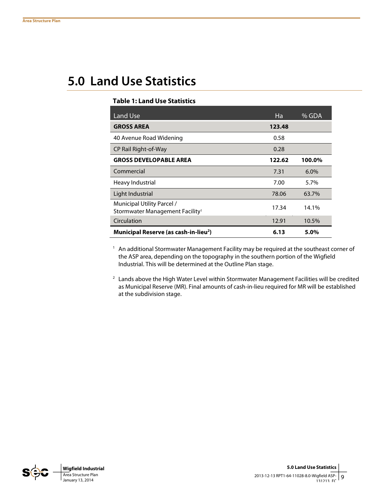# **5.0 Land Use Statistics**

#### **Table 1: Land Use Statistics**

| Land Use                                                                  | Ha     | % GDA  |
|---------------------------------------------------------------------------|--------|--------|
| <b>GROSS AREA</b>                                                         | 123.48 |        |
| 40 Avenue Road Widening                                                   | 0.58   |        |
| CP Rail Right-of-Way                                                      | 0.28   |        |
| <b>GROSS DEVELOPABLE AREA</b>                                             | 122.62 | 100.0% |
| Commercial                                                                | 7.31   | 6.0%   |
| Heavy Industrial                                                          | 7.00   | 5.7%   |
| Light Industrial                                                          | 78.06  | 63.7%  |
| Municipal Utility Parcel /<br>Stormwater Management Facility <sup>1</sup> | 17.34  | 14.1%  |
| Circulation                                                               | 12.91  | 10.5%  |
| Municipal Reserve (as cash-in-lieu <sup>2</sup> )                         | 6.13   | 5.0%   |

1 An additional Stormwater Management Facility may be required at the southeast corner of the ASP area, depending on the topography in the southern portion of the Wigfield Industrial. This will be determined at the Outline Plan stage.

2 Lands above the High Water Level within Stormwater Management Facilities will be credited as Municipal Reserve (MR). Final amounts of cash-in-lieu required for MR will be established at the subdivision stage.

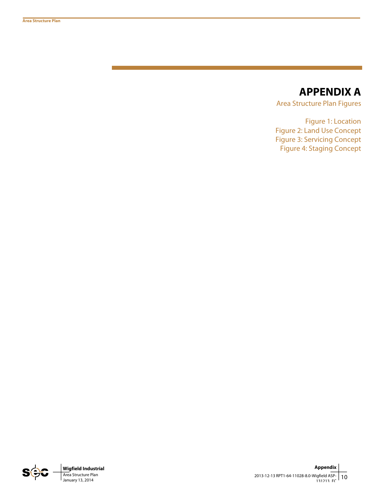## **APPENDIX A**

Area Structure Plan Figures

Figure 1: Location Figure 2: Land Use Concept Figure 3: Servicing Concept Figure 4: Staging Concept

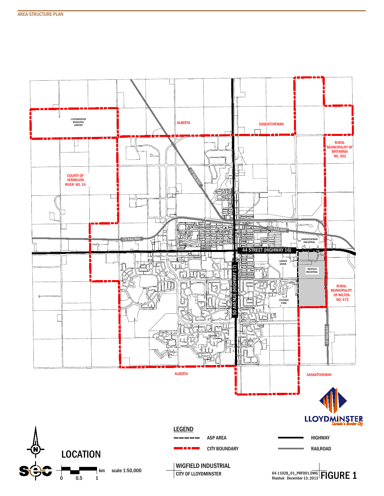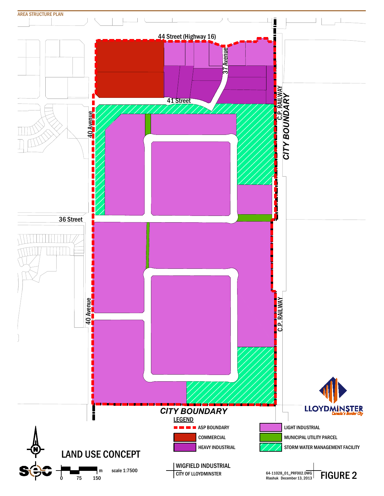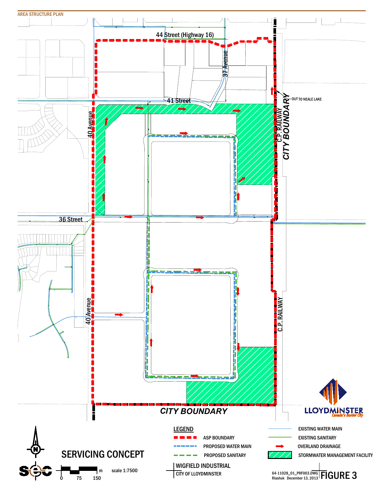